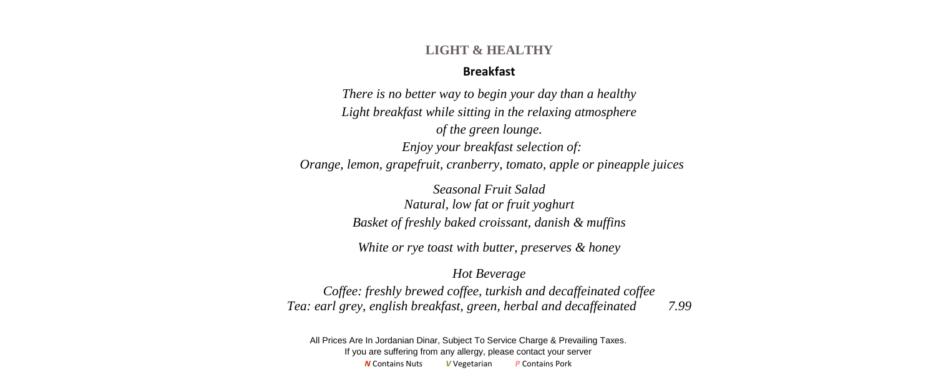#### **LIGHT & HEALTHY**

### **Breakfast**

*There is no better way to begin your day than a healthy Light breakfast while sitting in the relaxing atmosphere of the green lounge. Enjoy your breakfast selection of: Orange, lemon, grapefruit, cranberry, tomato, apple or pineapple juices* 

> *Seasonal Fruit Salad Natural, low fat or fruit yoghurt Basket of freshly baked croissant, danish & muffins*

*White or rye toast with butter, preserves & honey*

*Hot Beverage*

*Coffee: freshly brewed coffee, turkish and decaffeinated coffee Tea: earl grey, english breakfast, green, herbal and decaffeinated 7.99*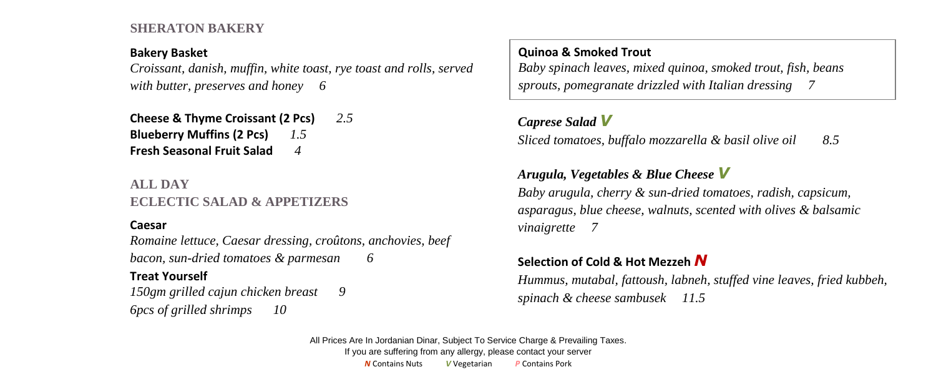### **SHERATON BAKERY**

### **Bakery Basket**

*Croissant, danish, muffin, white toast, rye toast and rolls, served with butter, preserves and honey 6*

**Cheese & Thyme Croissant (2 Pcs)** *2.5* **Blueberry Muffins (2 Pcs)** *1.5* **Fresh Seasonal Fruit Salad** *4*

# **ALL DAY ECLECTIC SALAD & APPETIZERS**

### **Caesar**

*Romaine lettuce, Caesar dressing, croûtons, anchovies, beef bacon, sun-dried tomatoes & parmesan 6*

### **Treat Yourself**

*150gm grilled cajun chicken breast 9 6pcs of grilled shrimps 10*

## **Quinoa & Smoked Trout**

*Baby spinach leaves, mixed quinoa, smoked trout, fish, beans sprouts, pomegranate drizzled with Italian dressing 7*

## *Caprese Salad V*

*Sliced tomatoes, buffalo mozzarella & basil olive oil 8.5*

## *Arugula, Vegetables & Blue Cheese V*

*Baby spinach leaves, mixed quinoa, smoked trout, fish, beans Baby arugula, cherry & sun-dried tomatoes, radish, capsicum, sprouts, pomegranate drizzled with Italian dressing asparagus, blue cheese, walnuts, scented with olives & balsamic vinaigrette 7*

## **Selection of Cold & Hot Mezzeh** *N*

*Hummus, mutabal, fattoush, labneh, stuffed vine leaves, fried kubbeh, spinach & cheese sambusek 11.5*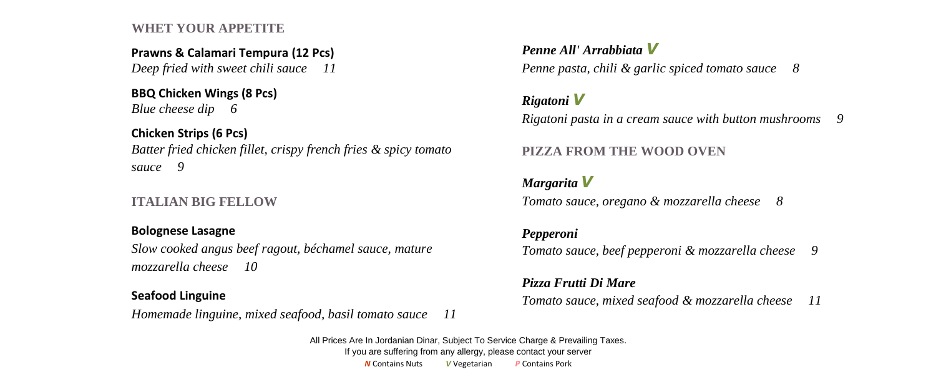### **WHET YOUR APPETITE**

### **Prawns & Calamari Tempura (12 Pcs)**  *Deep fried with sweet chili sauce 11*

# **BBQ Chicken Wings (8 Pcs)**

*Blue cheese dip 6*

# **Chicken Strips (6 Pcs)**

*Batter fried chicken fillet, crispy french fries & spicy tomato sauce 9*

# **ITALIAN BIG FELLOW**

## **Bolognese Lasagne**

*Slow cooked angus beef ragout, béchamel sauce, mature mozzarella cheese 10*

## **Seafood Linguine**

*Homemade linguine, mixed seafood, basil tomato sauce 11*

# *Penne All' Arrabbiata V*

*Penne pasta, chili & garlic spiced tomato sauce 8*

# *Rigatoni V*

*Rigatoni pasta in a cream sauce with button mushrooms 9*

# **PIZZA FROM THE WOOD OVEN**

# *Margarita V*

*Tomato sauce, oregano & mozzarella cheese 8*

## *Pepperoni*

*Tomato sauce, beef pepperoni & mozzarella cheese 9*

## *Pizza Frutti Di Mare*

*Tomato sauce, mixed seafood & mozzarella cheese 11*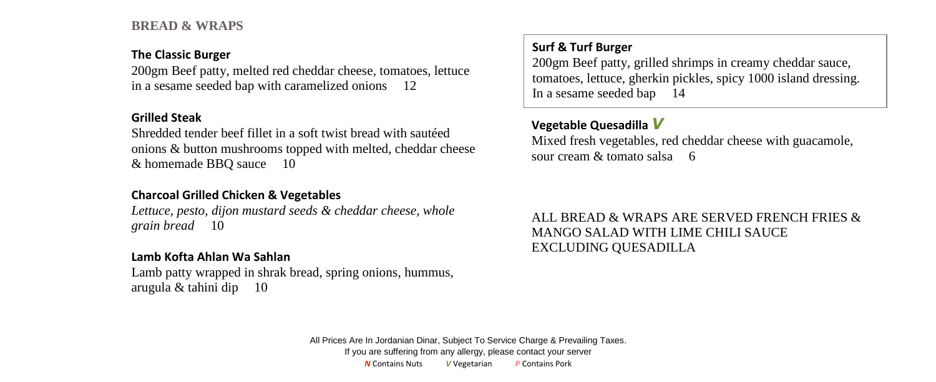### **BREAD & WRAPS**

#### **The Classic Burger**

200gm Beef patty, melted red cheddar cheese, tomatoes, lettuce in a sesame seeded bap with caramelized onions 12

### **Grilled Steak**

Shredded tender beef fillet in a soft twist bread with sautéed onions & button mushrooms topped with melted, cheddar cheese & homemade BBQ sauce 10

### **Charcoal Grilled Chicken & Vegetables**

*Lettuce, pesto, dijon mustard seeds & cheddar cheese, whole grain bread* 10

## **Lamb Kofta Ahlan Wa Sahlan**

Lamb patty wrapped in shrak bread, spring onions, hummus, arugula & tahini dip 10

## **Surf & Turf Burger**

200gm Beef patty, grilled shrimps in creamy cheddar sauce, tomatoes, lettuce, gherkin pickles, spicy 1000 island dressing. In a sesame seeded bap 14

## **Vegetable Quesadilla** *V*

 $\mathcal{L}$ Mixed fresh vegetables, red cheddar cheese with guacamole, sour cream  $\&$  tomato salsa 6

*sprouts, pomegranate drizzled with Italian dressing* ALL BREAD & WRAPS ARE SERVED FRENCH FRIES & MANGO SALAD WITH LIME CHILI SAUCE EXCLUDING QUESADILLA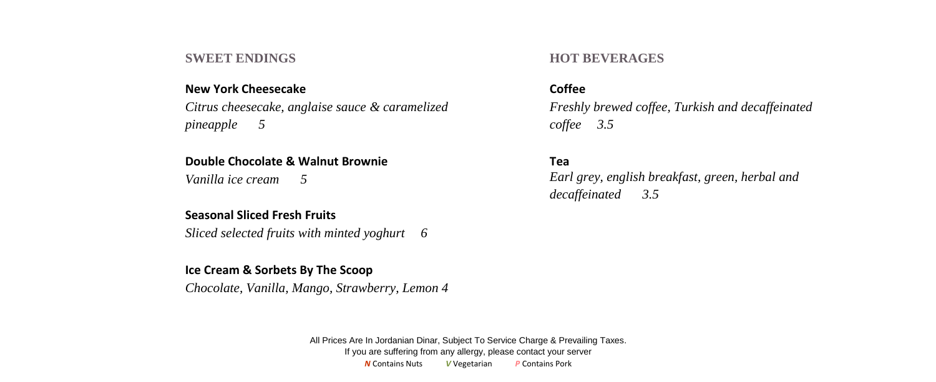#### **SWEET ENDINGS**

#### **New York Cheesecake**

*Citrus cheesecake, anglaise sauce & caramelized pineapple 5*

#### **Double Chocolate & Walnut Brownie**

*Vanilla ice cream 5*

### **Seasonal Sliced Fresh Fruits**

*Sliced selected fruits with minted yoghurt 6*

### **Ice Cream & Sorbets By The Scoop**

*Chocolate, Vanilla, Mango, Strawberry, Lemon 4*

### **HOT BEVERAGES**

#### **Coffee**

*Freshly brewed coffee, Turkish and decaffeinated coffee 3.5*

### **Tea**

*Earl grey, english breakfast, green, herbal and decaffeinated 3.5*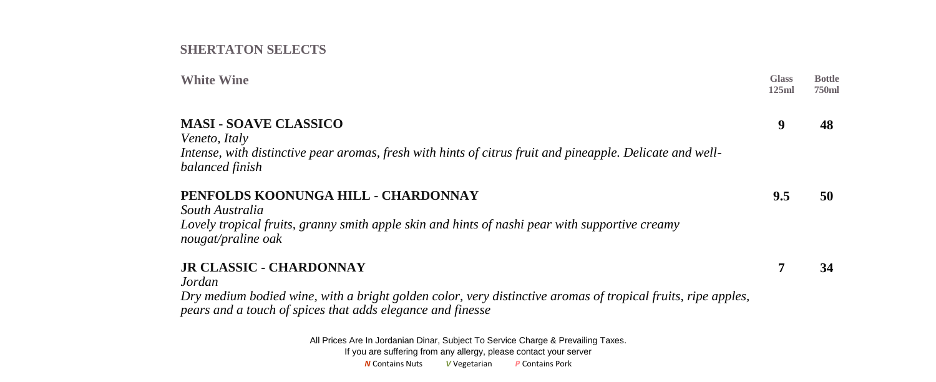### **SHERTATON SELECTS**

| <b>White Wine</b>                                                                                                            | <b>Glass</b><br>125ml | <b>Bottle</b><br>750ml |
|------------------------------------------------------------------------------------------------------------------------------|-----------------------|------------------------|
| <b>MASI - SOAVE CLASSICO</b>                                                                                                 | 9                     | 48                     |
| Veneto, Italy                                                                                                                |                       |                        |
| Intense, with distinctive pear aromas, fresh with hints of citrus fruit and pineapple. Delicate and well-<br>balanced finish |                       |                        |
| PENFOLDS KOONUNGA HILL - CHARDONNAY                                                                                          | 9.5                   | 50                     |
| South Australia<br>Lovely tropical fruits, granny smith apple skin and hints of nashi pear with supportive creamy            |                       |                        |
| nougat/praline oak                                                                                                           |                       |                        |
| <b>JR CLASSIC - CHARDONNAY</b>                                                                                               | 7                     | 34                     |
| Jordan                                                                                                                       |                       |                        |
| Dry medium bodied wine, with a bright golden color, very distinctive aromas of tropical fruits, ripe apples,                 |                       |                        |
| pears and a touch of spices that adds elegance and finesse                                                                   |                       |                        |
| All Prices Are In Jordanian Dinar, Subject To Service Charge & Prevailing Taxes.                                             |                       |                        |
| If you are cuffering from any allergy, please contact your conver-                                                           |                       |                        |

If you are suffering from any allergy, please contact your server *N* Contains Nuts *V* Vegetarian *P* Contains Pork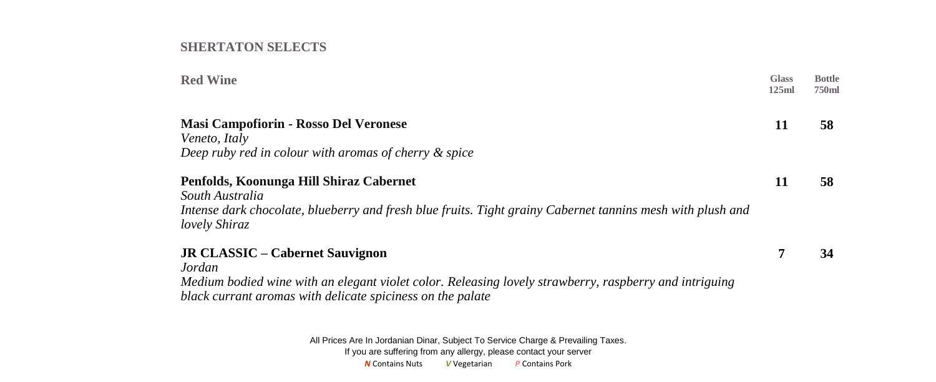### **SHERTATON SELECTS**

| <b>Red Wine</b>                                                                                                                    | <b>Glass</b><br>125ml | <b>Bottle</b><br><b>750ml</b> |
|------------------------------------------------------------------------------------------------------------------------------------|-----------------------|-------------------------------|
| <b>Masi Campofiorin - Rosso Del Veronese</b>                                                                                       | 11                    | 58                            |
| Veneto, Italy                                                                                                                      |                       |                               |
| Deep ruby red in colour with aromas of cherry & spice                                                                              |                       |                               |
| Penfolds, Koonunga Hill Shiraz Cabernet                                                                                            | 11                    | 58                            |
| South Australia                                                                                                                    |                       |                               |
| Intense dark chocolate, blueberry and fresh blue fruits. Tight grainy Cabernet tannins mesh with plush and<br><i>lovely Shiraz</i> |                       |                               |
| <b>JR CLASSIC – Cabernet Sauvignon</b>                                                                                             | 7                     | 34                            |
| Jordan                                                                                                                             |                       |                               |
| Medium bodied wine with an elegant violet color. Releasing lovely strawberry, raspberry and intriguing                             |                       |                               |
| black currant aromas with delicate spiciness on the palate                                                                         |                       |                               |
| All Prices Are In Jordanian Dinar, Subject To Service Charge & Prevailing Taxes.                                                   |                       |                               |
| If you are suffering from any allergy, please contact your server                                                                  |                       |                               |

*N* Contains Nuts *V* Vegetarian *P* Contains Pork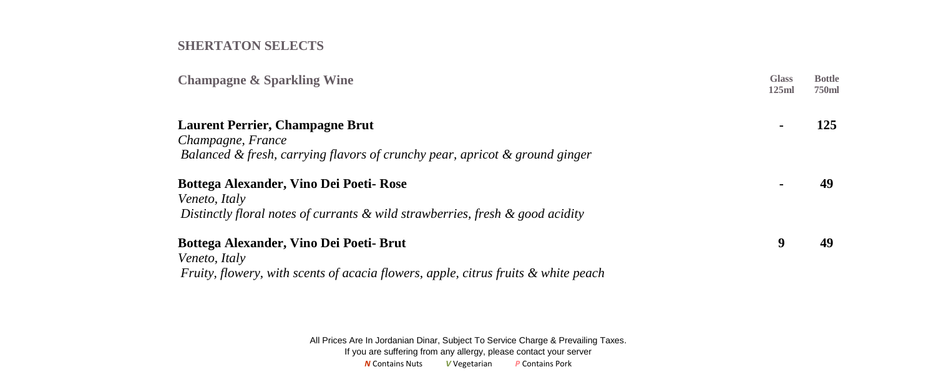### **SHERTATON SELECTS**

| <b>Champagne &amp; Sparkling Wine</b>                                               | <b>Glass</b><br>125ml | <b>Bottle</b><br>750ml |
|-------------------------------------------------------------------------------------|-----------------------|------------------------|
| <b>Laurent Perrier, Champagne Brut</b>                                              |                       | 125                    |
| Champagne, France                                                                   |                       |                        |
| Balanced & fresh, carrying flavors of crunchy pear, apricot & ground ginger         |                       |                        |
| Bottega Alexander, Vino Dei Poeti- Rose                                             |                       |                        |
| Veneto, Italy                                                                       |                       |                        |
| Distinctly floral notes of currants $\&$ wild strawberries, fresh $\&$ good acidity |                       |                        |
| Bottega Alexander, Vino Dei Poeti- Brut                                             | 9                     | 49                     |
| Veneto, Italy                                                                       |                       |                        |
| Fruity, flowery, with scents of acacia flowers, apple, citrus fruits & white peach  |                       |                        |
|                                                                                     |                       |                        |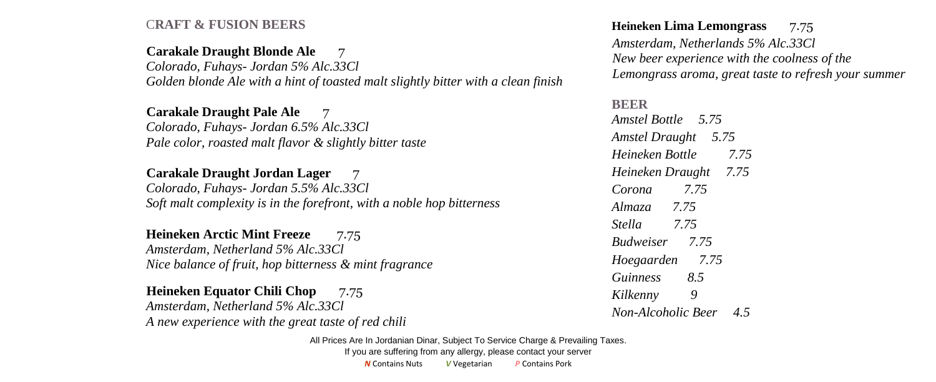## C**RAFT & FUSION BEERS**

### **Carakale Draught Blonde Ale** 7

*Colorado, Fuhays- Jordan 5% Alc.33Cl Golden blonde Ale with a hint of toasted malt slightly bitter with a clean finish*

#### **Carakale Draught Pale Ale** 7

*Colorado, Fuhays- Jordan 6.5% Alc.33Cl Pale color, roasted malt flavor & slightly bitter taste*

#### **Carakale Draught Jordan Lager**7

*Colorado, Fuhays- Jordan 5.5% Alc.33Cl Soft malt complexity is in the forefront, with a noble hop bitterness*

## **Heineken Arctic Mint Freeze**7.75

*Amsterdam, Netherland 5% Alc.33Cl Nice balance of fruit, hop bitterness & mint fragrance*

**Heineken Equator Chili Chop** 7.75 *Amsterdam, Netherland 5% Alc.33Cl A new experience with the great taste of red chili*

#### **Heineken Lima Lemongrass** 7.75

 *Amsterdam, Netherlands 5% Alc.33Cl New beer experience with the coolness of the Lemongrass aroma, great taste to refresh your summer*

# **BEER**  *Amstel Bottle 5.75 Amstel Draught 5.75 Heineken Bottle 7.75 Heineken Draught 7.75 Corona 7.75 Almaza 7.75 Stella 7.75 Budweiser 7.75 Hoegaarden 7.75 Guinness 8.5 Kilkenny 9 Non-Alcoholic Beer 4.5*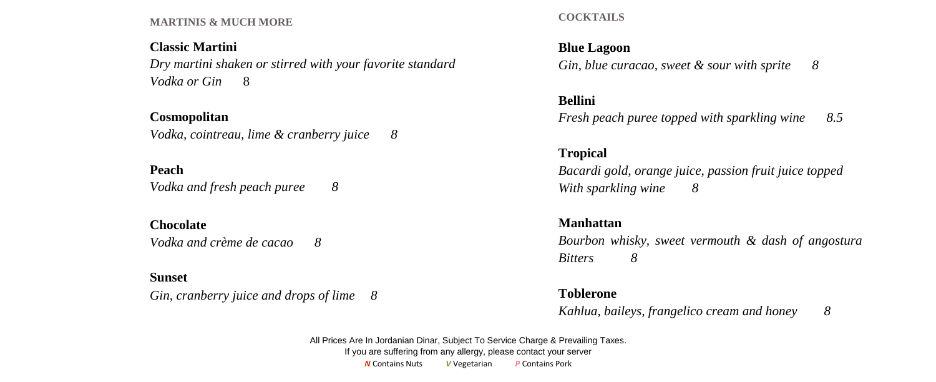#### **MARTINIS & MUCH MORE**

### **Classic Martini**

*Dry martini shaken or stirred with your favorite standard Vodka or Gin* 8

### **Cosmopolitan**

*Vodka, cointreau, lime & cranberry juice 8*

## **Peach**

*Vodka and fresh peach puree 8*

#### **Chocolate**

*Vodka and crème de cacao 8*

#### **Sunset**

*Gin, cranberry juice and drops of lime 8*

**COCKTAILS**

## **Blue Lagoon**

*Gin, blue curacao, sweet & sour with sprite 8*

### **Bellini**

*Fresh peach puree topped with sparkling wine 8.5*

### **Tropical**

*Bacardi gold, orange juice, passion fruit juice topped With sparkling wine 8*

### **Manhattan**

*Bourbon whisky, sweet vermouth & dash of angostura Bitters 8*

#### **Toblerone**

*Kahlua, baileys, frangelico cream and honey 8*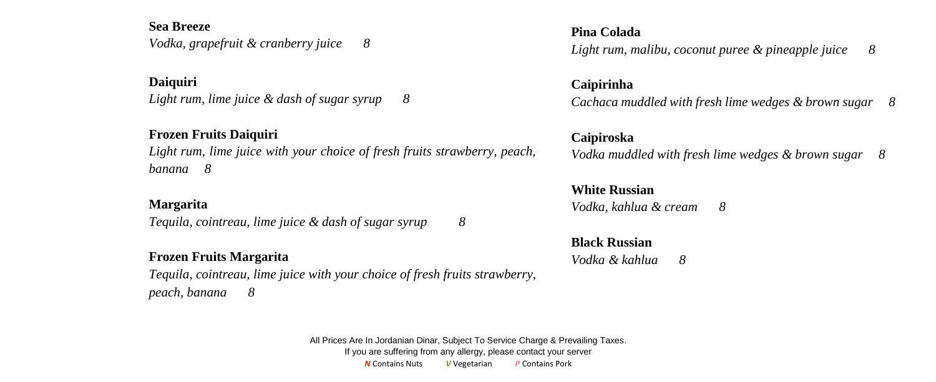### **Sea Breeze**

*Vodka, grapefruit & cranberry juice 8*

**Daiquiri** *Light rum, lime juice & dash of sugar syrup 8*

## **Frozen Fruits Daiquiri**

*Light rum, lime juice with your choice of fresh fruits strawberry, peach, banana 8*

### **Margarita**

*Tequila, cointreau, lime juice & dash of sugar syrup 8*

### **Frozen Fruits Margarita**

*Tequila, cointreau, lime juice with your choice of fresh fruits strawberry, peach, banana 8*

### **Pina Colada**

*Light rum, malibu, coconut puree & pineapple juice 8*

### **Caipirinha**

*Cachaca muddled with fresh lime wedges & brown sugar 8*

### **Caipiroska**

*Vodka muddled with fresh lime wedges & brown sugar 8*

### **White Russian** *Vodka, kahlua & cream 8*

**Black Russian** *Vodka & kahlua 8*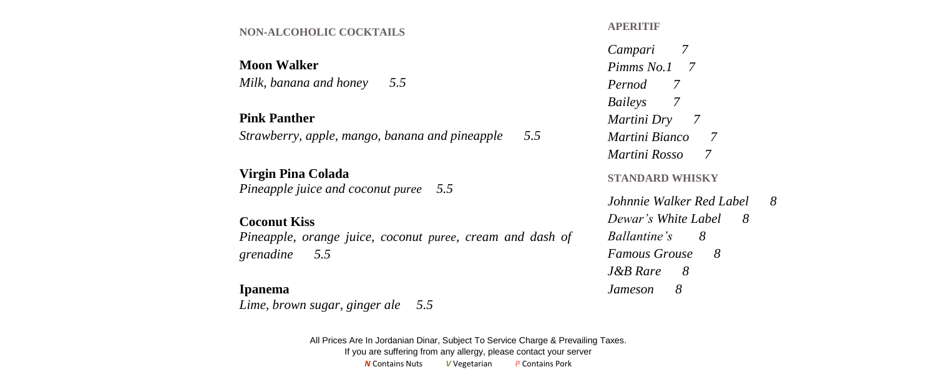#### **NON-ALCOHOLIC COCKTAILS**

**Moon Walker** *Milk, banana and honey 5.5*

#### **Pink Panther**

*Strawberry, apple, mango, banana and pineapple 5.5*

### **Virgin Pina Colada**

*Pineapple juice and coconut puree 5.5*

#### **Coconut Kiss**

*Pineapple, orange juice, coconut puree, cream and dash of grenadine 5.5*

#### **Ipanema**

*Lime, brown sugar, ginger ale 5.5*

All Prices Are In Jordanian Dinar, Subject To Service Charge & Prevailing Taxes. If you are suffering from any allergy, please contact your server *N* Contains Nuts *V* Vegetarian *P* Contains Pork

#### **APERITIF**

*Campari 7 Pimms No.1 7 Pernod 7 Baileys 7 Martini Dry 7 Martini Bianco 7 Martini Rosso 7* **STANDARD WHISKY** *Johnnie Walker Red Label 8*

*Dewar's White Label 8 Ballantine's 8 Famous Grouse 8 J&B Rare 8 Jameson 8*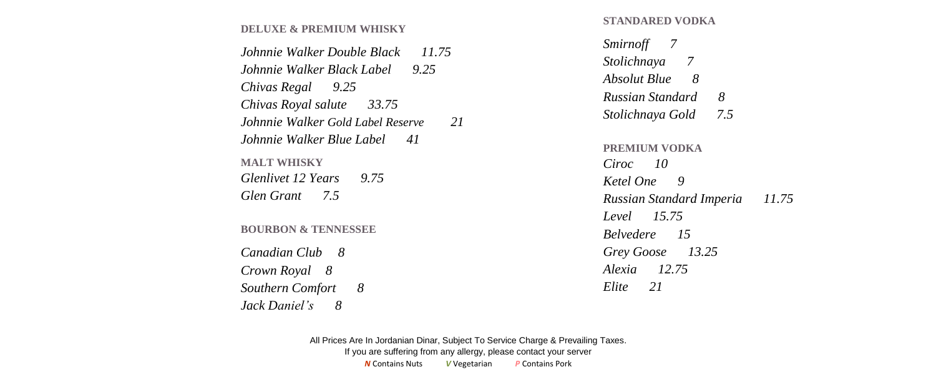#### **DELUXE & PREMIUM WHISKY**

| Johnnie Walker Double Black<br>11.75    |
|-----------------------------------------|
| Johnnie Walker Black Label 9.25         |
| Chivas Regal 9.25                       |
| Chivas Royal salute 33.75               |
| Johnnie Walker Gold Label Reserve<br>21 |
| Johnnie Walker Blue Label – 41          |
| <b>MALT WHISKY</b>                      |
| Glenlivet 12 Years<br>9.75              |
| Glen Grant 7.5                          |
| <b>BOURBON &amp; TENNESSEE</b>          |
| Canadian Club 8                         |
| Crown Royal 8                           |
| <b>Southern Comfort</b><br>-8           |
| Jack Daniel's<br>8                      |

**STANDARED VODKA**

| Smirnoff 7               |       |
|--------------------------|-------|
| Stolichnaya 7            |       |
| Absolut Blue 8           |       |
| 8<br>Russian Standard    |       |
| 7.5<br>Stolichnaya Gold  |       |
| Ciroc 10<br>Ketel One 9  |       |
| Russian Standard Imperia | 11.75 |
| Level 15.75              |       |
| <b>Belvedere</b> 15      |       |
| Grey Goose 13.25         |       |
| Alexia 12.75             |       |

*Elite 21*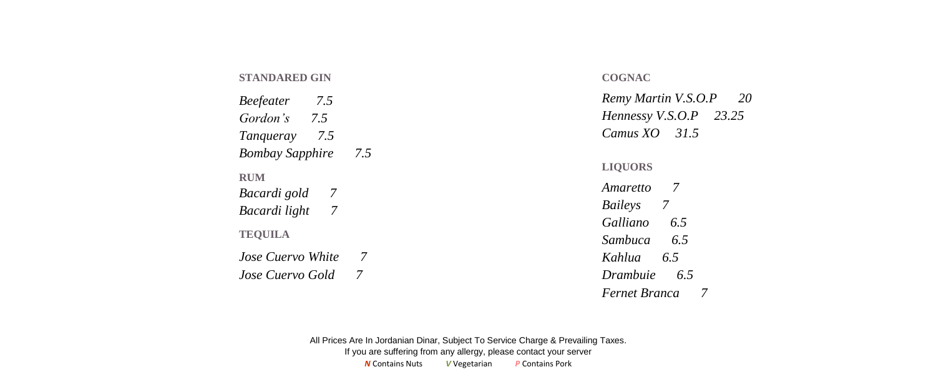#### **STANDARED GIN**

| 75<br><i>Beefeater</i> |     |
|------------------------|-----|
| Gordon's 7.5           |     |
| 75<br>Tanqueray        |     |
| <b>Bombay Sapphire</b> | 7.5 |
| RUM                    |     |
| Bacardi gold<br>7      |     |
| 7<br>Bacardi light     |     |
| <b>TEOUILA</b>         |     |
| Jose Cuervo White      | 7   |
| Jose Cuervo Gold       |     |

#### **COGNAC**

*Remy Martin V.S.O.P 20 Hennessy V.S.O.P 23.25 Camus XO 31.5*

**LIQUORS**

*Amaretto 7 Baileys 7 Galliano 6.5 Sambuca 6.5 Kahlua 6.5 Drambuie 6.5*

*Fernet Branca 7*